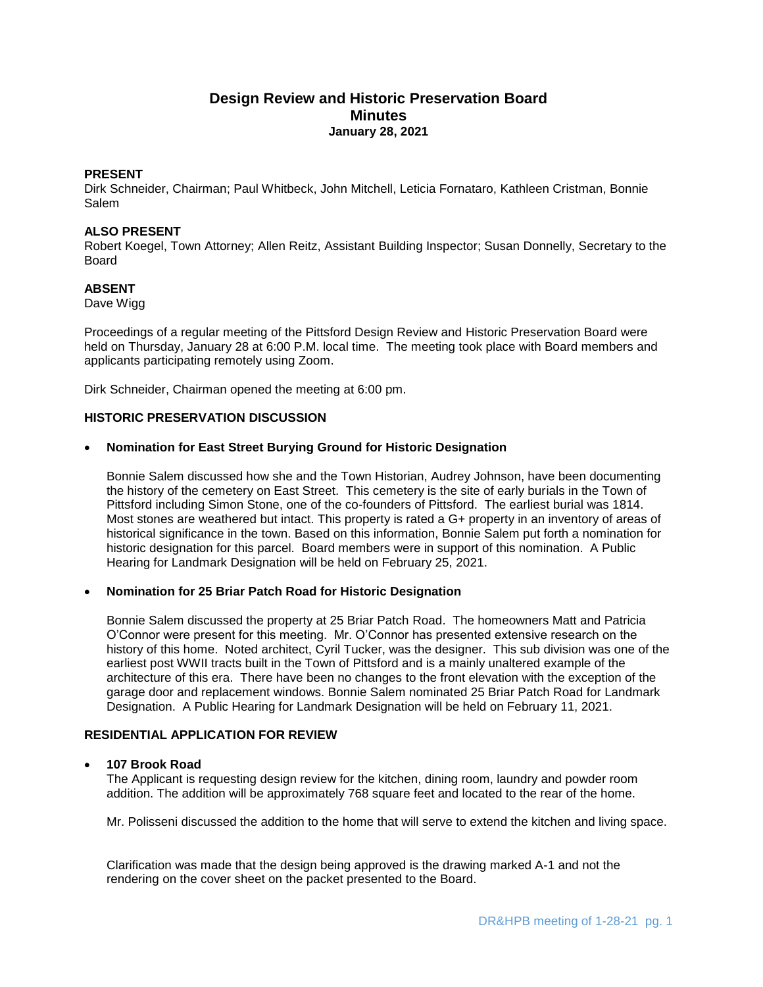# **Design Review and Historic Preservation Board Minutes January 28, 2021**

# **PRESENT**

Dirk Schneider, Chairman; Paul Whitbeck, John Mitchell, Leticia Fornataro, Kathleen Cristman, Bonnie Salem

# **ALSO PRESENT**

Robert Koegel, Town Attorney; Allen Reitz, Assistant Building Inspector; Susan Donnelly, Secretary to the Board

# **ABSENT**

Dave Wigg

Proceedings of a regular meeting of the Pittsford Design Review and Historic Preservation Board were held on Thursday, January 28 at 6:00 P.M. local time. The meeting took place with Board members and applicants participating remotely using Zoom.

Dirk Schneider, Chairman opened the meeting at 6:00 pm.

#### **HISTORIC PRESERVATION DISCUSSION**

#### **Nomination for East Street Burying Ground for Historic Designation**

Bonnie Salem discussed how she and the Town Historian, Audrey Johnson, have been documenting the history of the cemetery on East Street. This cemetery is the site of early burials in the Town of Pittsford including Simon Stone, one of the co-founders of Pittsford. The earliest burial was 1814. Most stones are weathered but intact. This property is rated a G+ property in an inventory of areas of historical significance in the town. Based on this information, Bonnie Salem put forth a nomination for historic designation for this parcel. Board members were in support of this nomination. A Public Hearing for Landmark Designation will be held on February 25, 2021.

#### **Nomination for 25 Briar Patch Road for Historic Designation**

Bonnie Salem discussed the property at 25 Briar Patch Road. The homeowners Matt and Patricia O'Connor were present for this meeting. Mr. O'Connor has presented extensive research on the history of this home. Noted architect, Cyril Tucker, was the designer. This sub division was one of the earliest post WWII tracts built in the Town of Pittsford and is a mainly unaltered example of the architecture of this era. There have been no changes to the front elevation with the exception of the garage door and replacement windows. Bonnie Salem nominated 25 Briar Patch Road for Landmark Designation. A Public Hearing for Landmark Designation will be held on February 11, 2021.

# **RESIDENTIAL APPLICATION FOR REVIEW**

## **107 Brook Road**

The Applicant is requesting design review for the kitchen, dining room, laundry and powder room addition. The addition will be approximately 768 square feet and located to the rear of the home.

Mr. Polisseni discussed the addition to the home that will serve to extend the kitchen and living space.

Clarification was made that the design being approved is the drawing marked A-1 and not the rendering on the cover sheet on the packet presented to the Board.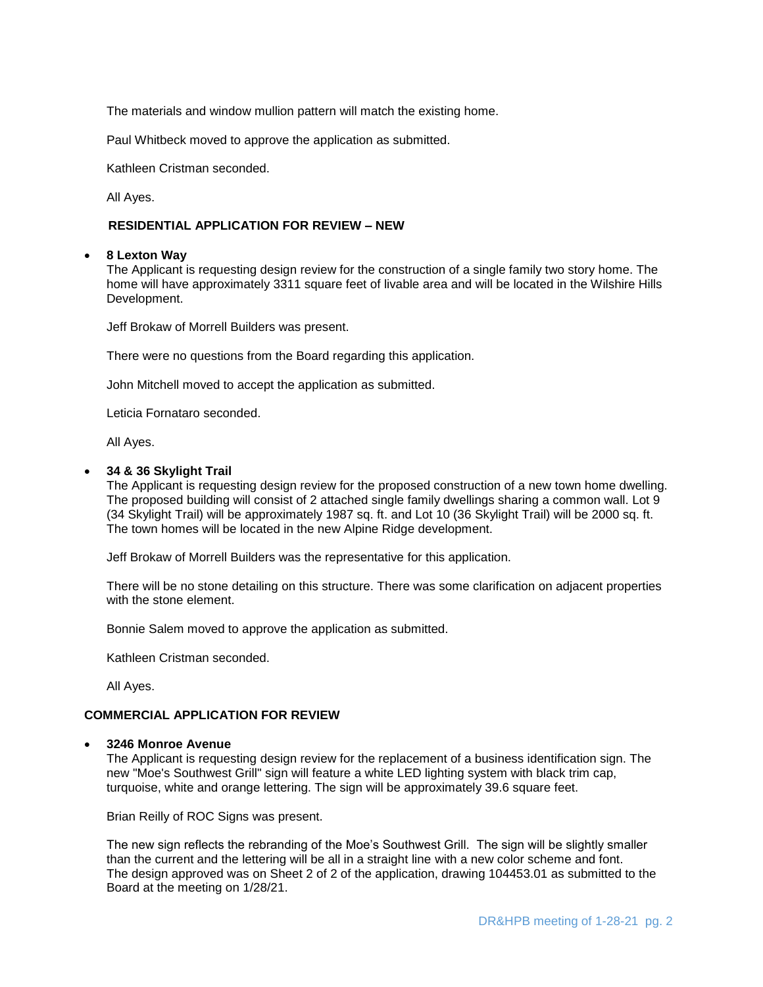The materials and window mullion pattern will match the existing home.

Paul Whitbeck moved to approve the application as submitted.

Kathleen Cristman seconded.

All Ayes.

# **RESIDENTIAL APPLICATION FOR REVIEW – NEW**

#### **8 Lexton Way**

The Applicant is requesting design review for the construction of a single family two story home. The home will have approximately 3311 square feet of livable area and will be located in the Wilshire Hills Development.

Jeff Brokaw of Morrell Builders was present.

There were no questions from the Board regarding this application.

John Mitchell moved to accept the application as submitted.

Leticia Fornataro seconded.

All Ayes.

#### **34 & 36 Skylight Trail**

The Applicant is requesting design review for the proposed construction of a new town home dwelling. The proposed building will consist of 2 attached single family dwellings sharing a common wall. Lot 9 (34 Skylight Trail) will be approximately 1987 sq. ft. and Lot 10 (36 Skylight Trail) will be 2000 sq. ft. The town homes will be located in the new Alpine Ridge development.

Jeff Brokaw of Morrell Builders was the representative for this application.

There will be no stone detailing on this structure. There was some clarification on adjacent properties with the stone element.

Bonnie Salem moved to approve the application as submitted.

Kathleen Cristman seconded.

All Ayes.

# **COMMERCIAL APPLICATION FOR REVIEW**

#### **3246 Monroe Avenue**

The Applicant is requesting design review for the replacement of a business identification sign. The new "Moe's Southwest Grill" sign will feature a white LED lighting system with black trim cap, turquoise, white and orange lettering. The sign will be approximately 39.6 square feet.

Brian Reilly of ROC Signs was present.

The new sign reflects the rebranding of the Moe's Southwest Grill. The sign will be slightly smaller than the current and the lettering will be all in a straight line with a new color scheme and font. The design approved was on Sheet 2 of 2 of the application, drawing 104453.01 as submitted to the Board at the meeting on 1/28/21.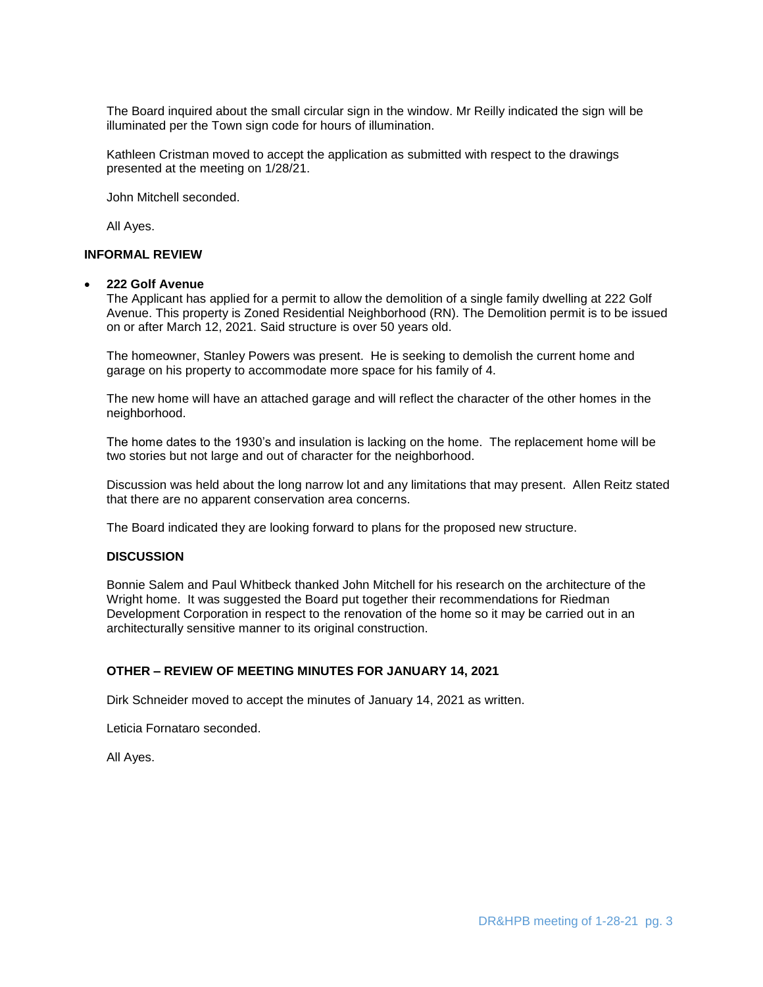The Board inquired about the small circular sign in the window. Mr Reilly indicated the sign will be illuminated per the Town sign code for hours of illumination.

Kathleen Cristman moved to accept the application as submitted with respect to the drawings presented at the meeting on 1/28/21.

John Mitchell seconded.

All Ayes.

# **INFORMAL REVIEW**

#### **222 Golf Avenue**

The Applicant has applied for a permit to allow the demolition of a single family dwelling at 222 Golf Avenue. This property is Zoned Residential Neighborhood (RN). The Demolition permit is to be issued on or after March 12, 2021. Said structure is over 50 years old.

The homeowner, Stanley Powers was present. He is seeking to demolish the current home and garage on his property to accommodate more space for his family of 4.

The new home will have an attached garage and will reflect the character of the other homes in the neighborhood.

The home dates to the 1930's and insulation is lacking on the home. The replacement home will be two stories but not large and out of character for the neighborhood.

Discussion was held about the long narrow lot and any limitations that may present. Allen Reitz stated that there are no apparent conservation area concerns.

The Board indicated they are looking forward to plans for the proposed new structure.

## **DISCUSSION**

Bonnie Salem and Paul Whitbeck thanked John Mitchell for his research on the architecture of the Wright home. It was suggested the Board put together their recommendations for Riedman Development Corporation in respect to the renovation of the home so it may be carried out in an architecturally sensitive manner to its original construction.

## **OTHER – REVIEW OF MEETING MINUTES FOR JANUARY 14, 2021**

Dirk Schneider moved to accept the minutes of January 14, 2021 as written.

Leticia Fornataro seconded.

All Ayes.